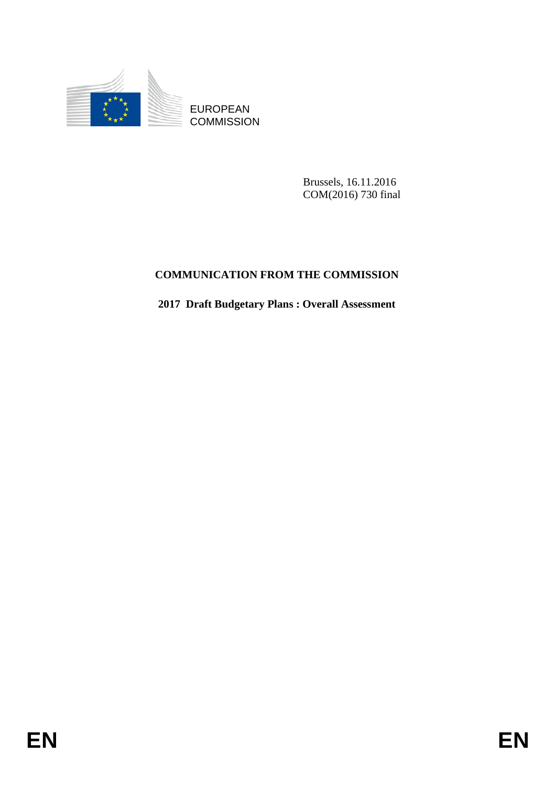

Brussels, 16.11.2016 COM(2016) 730 final

# **COMMUNICATION FROM THE COMMISSION**

**2017 Draft Budgetary Plans : Overall Assessment**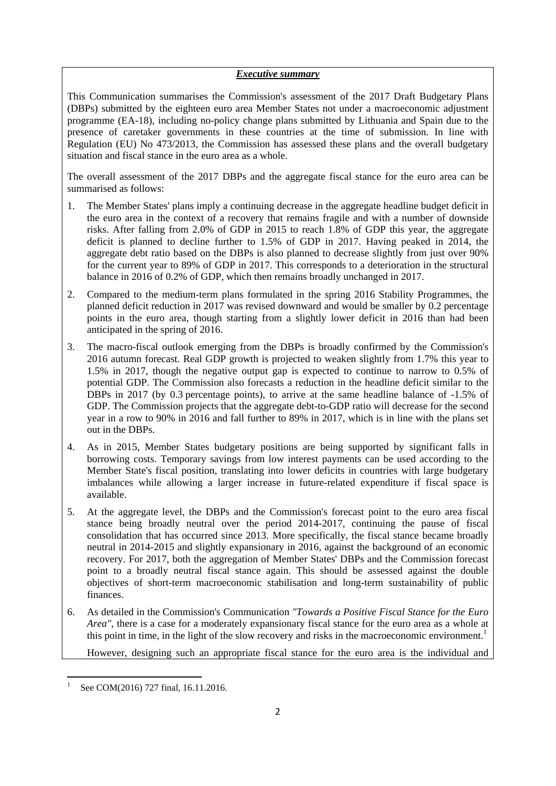### *Executive summary*

This Communication summarises the Commission's assessment of the 2017 Draft Budgetary Plans (DBPs) submitted by the eighteen euro area Member States not under a macroeconomic adjustment programme (EA-18), including no-policy change plans submitted by Lithuania and Spain due to the presence of caretaker governments in these countries at the time of submission. In line with Regulation (EU) No 473/2013, the Commission has assessed these plans and the overall budgetary situation and fiscal stance in the euro area as a whole.

The overall assessment of the 2017 DBPs and the aggregate fiscal stance for the euro area can be summarised as follows:

- 1. The Member States' plans imply a continuing decrease in the aggregate headline budget deficit in the euro area in the context of a recovery that remains fragile and with a number of downside risks. After falling from 2.0% of GDP in 2015 to reach 1.8% of GDP this year, the aggregate deficit is planned to decline further to 1.5% of GDP in 2017. Having peaked in 2014, the aggregate debt ratio based on the DBPs is also planned to decrease slightly from just over 90% for the current year to 89% of GDP in 2017. This corresponds to a deterioration in the structural balance in 2016 of 0.2% of GDP, which then remains broadly unchanged in 2017.
- 2. Compared to the medium-term plans formulated in the spring 2016 Stability Programmes, the planned deficit reduction in 2017 was revised downward and would be smaller by 0.2 percentage points in the euro area, though starting from a slightly lower deficit in 2016 than had been anticipated in the spring of 2016.
- 3. The macro-fiscal outlook emerging from the DBPs is broadly confirmed by the Commission's 2016 autumn forecast. Real GDP growth is projected to weaken slightly from 1.7% this year to 1.5% in 2017, though the negative output gap is expected to continue to narrow to 0.5% of potential GDP. The Commission also forecasts a reduction in the headline deficit similar to the DBPs in 2017 (by 0.3 percentage points), to arrive at the same headline balance of -1.5% of GDP. The Commission projects that the aggregate debt-to-GDP ratio will decrease for the second year in a row to 90% in 2016 and fall further to 89% in 2017, which is in line with the plans set out in the DBPs.
- 4. As in 2015, Member States budgetary positions are being supported by significant falls in borrowing costs. Temporary savings from low interest payments can be used according to the Member State's fiscal position, translating into lower deficits in countries with large budgetary imbalances while allowing a larger increase in future-related expenditure if fiscal space is available.
- 5. At the aggregate level, the DBPs and the Commission's forecast point to the euro area fiscal stance being broadly neutral over the period 2014-2017, continuing the pause of fiscal consolidation that has occurred since 2013. More specifically, the fiscal stance became broadly neutral in 2014-2015 and slightly expansionary in 2016, against the background of an economic recovery. For 2017, both the aggregation of Member States' DBPs and the Commission forecast point to a broadly neutral fiscal stance again. This should be assessed against the double objectives of short-term macroeconomic stabilisation and long-term sustainability of public finances.
- 6. As detailed in the Commission's Communication *"Towards a Positive Fiscal Stance for the Euro Area"*, there is a case for a moderately expansionary fiscal stance for the euro area as a whole at this point in time, in the light of the slow recovery and risks in the macroeconomic environment.<sup>1</sup>

However, designing such an appropriate fiscal stance for the euro area is the individual and

**.** 1

See COM(2016) 727 final, 16.11.2016.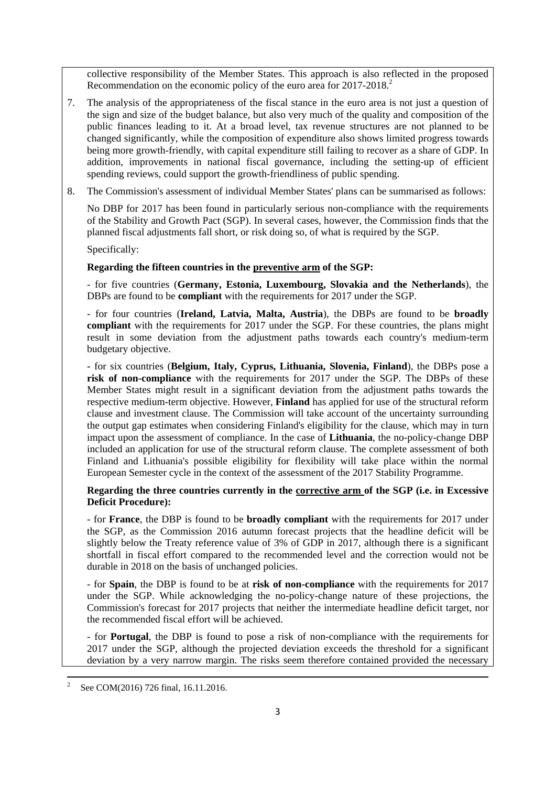collective responsibility of the Member States. This approach is also reflected in the proposed Recommendation on the economic policy of the euro area for 2017-2018.<sup>2</sup>

- 7. The analysis of the appropriateness of the fiscal stance in the euro area is not just a question of the sign and size of the budget balance, but also very much of the quality and composition of the public finances leading to it. At a broad level, tax revenue structures are not planned to be changed significantly, while the composition of expenditure also shows limited progress towards being more growth-friendly, with capital expenditure still failing to recover as a share of GDP. In addition, improvements in national fiscal governance, including the setting-up of efficient spending reviews, could support the growth-friendliness of public spending.
- 8. The Commission's assessment of individual Member States' plans can be summarised as follows:

No DBP for 2017 has been found in particularly serious non-compliance with the requirements of the Stability and Growth Pact (SGP). In several cases, however, the Commission finds that the planned fiscal adjustments fall short, or risk doing so, of what is required by the SGP.

Specifically:

### **Regarding the fifteen countries in the preventive arm of the SGP:**

- for five countries (**Germany, Estonia, Luxembourg, Slovakia and the Netherlands**), the DBPs are found to be **compliant** with the requirements for 2017 under the SGP.

- for four countries (**Ireland, Latvia, Malta, Austria**), the DBPs are found to be **broadly compliant** with the requirements for 2017 under the SGP. For these countries, the plans might result in some deviation from the adjustment paths towards each country's medium-term budgetary objective.

**-** for six countries (**Belgium, Italy, Cyprus, Lithuania, Slovenia, Finland**), the DBPs pose a **risk of non-compliance** with the requirements for 2017 under the SGP. The DBPs of these Member States might result in a significant deviation from the adjustment paths towards the respective medium-term objective. However, **Finland** has applied for use of the structural reform clause and investment clause. The Commission will take account of the uncertainty surrounding the output gap estimates when considering Finland's eligibility for the clause, which may in turn impact upon the assessment of compliance. In the case of **Lithuania**, the no-policy-change DBP included an application for use of the structural reform clause. The complete assessment of both Finland and Lithuania's possible eligibility for flexibility will take place within the normal European Semester cycle in the context of the assessment of the 2017 Stability Programme.

**Regarding the three countries currently in the corrective arm of the SGP (i.e. in Excessive Deficit Procedure):** 

- for **France**, the DBP is found to be **broadly compliant** with the requirements for 2017 under the SGP, as the Commission 2016 autumn forecast projects that the headline deficit will be slightly below the Treaty reference value of 3% of GDP in 2017, although there is a significant shortfall in fiscal effort compared to the recommended level and the correction would not be durable in 2018 on the basis of unchanged policies.

- for **Spain**, the DBP is found to be at **risk of non-compliance** with the requirements for 2017 under the SGP. While acknowledging the no-policy-change nature of these projections, the Commission's forecast for 2017 projects that neither the intermediate headline deficit target, nor the recommended fiscal effort will be achieved.

- for **Portugal**, the DBP is found to pose a risk of non-compliance with the requirements for 2017 under the SGP, although the projected deviation exceeds the threshold for a significant deviation by a very narrow margin. The risks seem therefore contained provided the necessary

 $\frac{1}{2}$ See COM(2016) 726 final, 16.11.2016.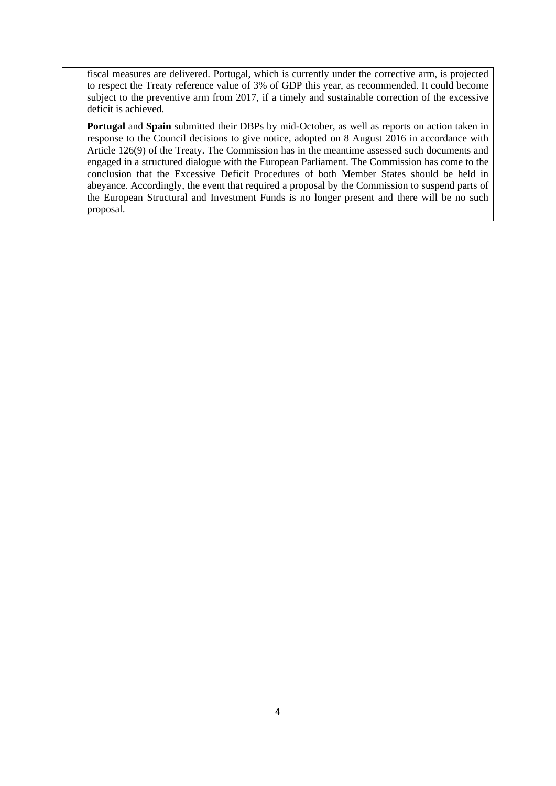fiscal measures are delivered. Portugal, which is currently under the corrective arm, is projected to respect the Treaty reference value of 3% of GDP this year, as recommended. It could become subject to the preventive arm from 2017, if a timely and sustainable correction of the excessive deficit is achieved.

**Portugal** and **Spain** submitted their DBPs by mid-October, as well as reports on action taken in response to the Council decisions to give notice, adopted on 8 August 2016 in accordance with Article 126(9) of the Treaty. The Commission has in the meantime assessed such documents and engaged in a structured dialogue with the European Parliament. The Commission has come to the conclusion that the Excessive Deficit Procedures of both Member States should be held in abeyance. Accordingly, the event that required a proposal by the Commission to suspend parts of the European Structural and Investment Funds is no longer present and there will be no such proposal.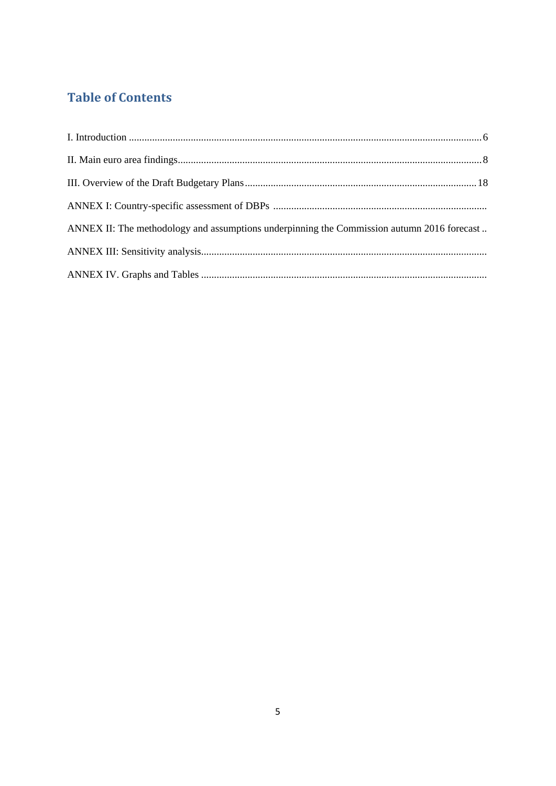# **Table of Contents**

| ANNEX II: The methodology and assumptions underpinning the Commission autumn 2016 forecast |  |
|--------------------------------------------------------------------------------------------|--|
|                                                                                            |  |
|                                                                                            |  |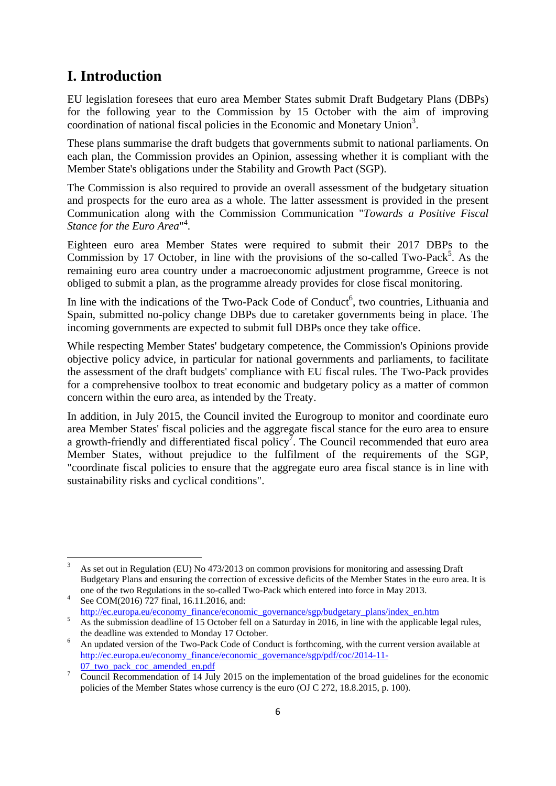# <span id="page-5-0"></span>**I. Introduction**

EU legislation foresees that euro area Member States submit Draft Budgetary Plans (DBPs) for the following year to the Commission by 15 October with the aim of improving coordination of national fiscal policies in the Economic and Monetary Union<sup>3</sup>.

These plans summarise the draft budgets that governments submit to national parliaments. On each plan, the Commission provides an Opinion, assessing whether it is compliant with the Member State's obligations under the Stability and Growth Pact (SGP).

The Commission is also required to provide an overall assessment of the budgetary situation and prospects for the euro area as a whole. The latter assessment is provided in the present Communication along with the Commission Communication "*Towards a Positive Fiscal*  Stance for the Euro Area<sup>n4</sup>.

Eighteen euro area Member States were required to submit their 2017 DBPs to the Commission by 17 October, in line with the provisions of the so-called Two-Pack<sup>5</sup>. As the remaining euro area country under a macroeconomic adjustment programme, Greece is not obliged to submit a plan, as the programme already provides for close fiscal monitoring.

In line with the indications of the Two-Pack Code of Conduct<sup>6</sup>, two countries, Lithuania and Spain, submitted no-policy change DBPs due to caretaker governments being in place. The incoming governments are expected to submit full DBPs once they take office.

While respecting Member States' budgetary competence, the Commission's Opinions provide objective policy advice, in particular for national governments and parliaments, to facilitate the assessment of the draft budgets' compliance with EU fiscal rules. The Two-Pack provides for a comprehensive toolbox to treat economic and budgetary policy as a matter of common concern within the euro area, as intended by the Treaty.

In addition, in July 2015, the Council invited the Eurogroup to monitor and coordinate euro area Member States' fiscal policies and the aggregate fiscal stance for the euro area to ensure a growth-friendly and differentiated fiscal policy<sup>7</sup>. The Council recommended that euro area Member States, without prejudice to the fulfilment of the requirements of the SGP, "coordinate fiscal policies to ensure that the aggregate euro area fiscal stance is in line with sustainability risks and cyclical conditions".

 $\frac{1}{3}$  As set out in Regulation (EU) No 473/2013 on common provisions for monitoring and assessing Draft Budgetary Plans and ensuring the correction of excessive deficits of the Member States in the euro area. It is one of the two Regulations in the so-called Two-Pack which entered into force in May 2013. 4

See COM(2016) 727 final, 16.11.2016, and:

[http://ec.europa.eu/economy\\_finance/economic\\_governance/sgp/budgetary\\_plans/index\\_en.htm](http://ec.europa.eu/economy_finance/economic_governance/sgp/budgetary_plans/index_en.htm) 5.15.2016. As the submission deadline of 15 October fell on a Saturday in 2016, in line with the applicable legal rules,

the deadline was extended to Monday 17 October. 6 An updated version of the Two-Pack Code of Conduct is forthcoming, with the current version available at [http://ec.europa.eu/economy\\_finance/economic\\_governance/sgp/pdf/coc/2014-11-](http://ec.europa.eu/economy_finance/economic_governance/sgp/pdf/coc/2014-11-07_two_pack_coc_amended_en.pdf)

<sup>07</sup> two pack coc amended en.pdf

Council Recommendation of 14 July 2015 on the implementation of the broad guidelines for the economic policies of the Member States whose currency is the euro (OJ C 272, 18.8.2015, p. 100).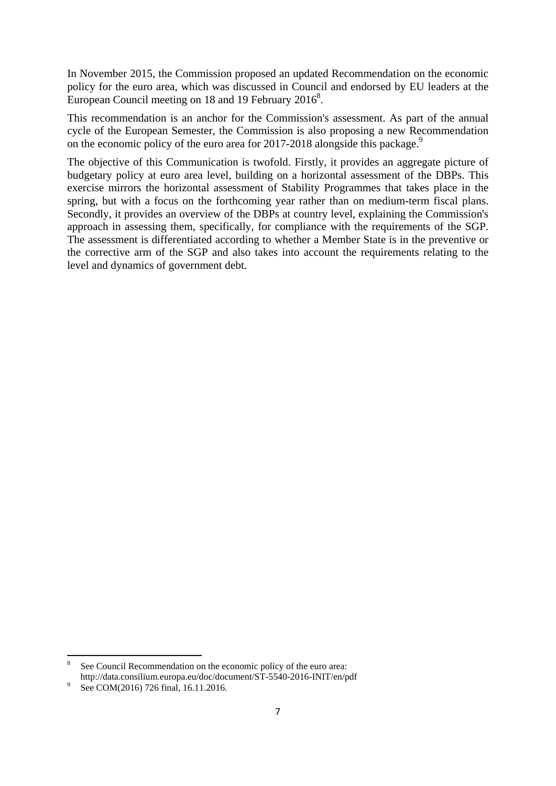In November 2015, the Commission proposed an updated Recommendation on the economic policy for the euro area, which was discussed in Council and endorsed by EU leaders at the European Council meeting on 18 and 19 February  $2016^8$ .

This recommendation is an anchor for the Commission's assessment. As part of the annual cycle of the European Semester, the Commission is also proposing a new Recommendation on the economic policy of the euro area for 2017-2018 alongside this package.<sup>9</sup>

The objective of this Communication is twofold. Firstly, it provides an aggregate picture of budgetary policy at euro area level, building on a horizontal assessment of the DBPs. This exercise mirrors the horizontal assessment of Stability Programmes that takes place in the spring, but with a focus on the forthcoming year rather than on medium-term fiscal plans. Secondly, it provides an overview of the DBPs at country level, explaining the Commission's approach in assessing them, specifically, for compliance with the requirements of the SGP. The assessment is differentiated according to whether a Member State is in the preventive or the corrective arm of the SGP and also takes into account the requirements relating to the level and dynamics of government debt.

1

<sup>8</sup> See Council Recommendation on the economic policy of the euro area: http://data.consilium.europa.eu/doc/document/ST-5540-2016-INIT/en/pdf 9

See COM(2016) 726 final, 16.11.2016.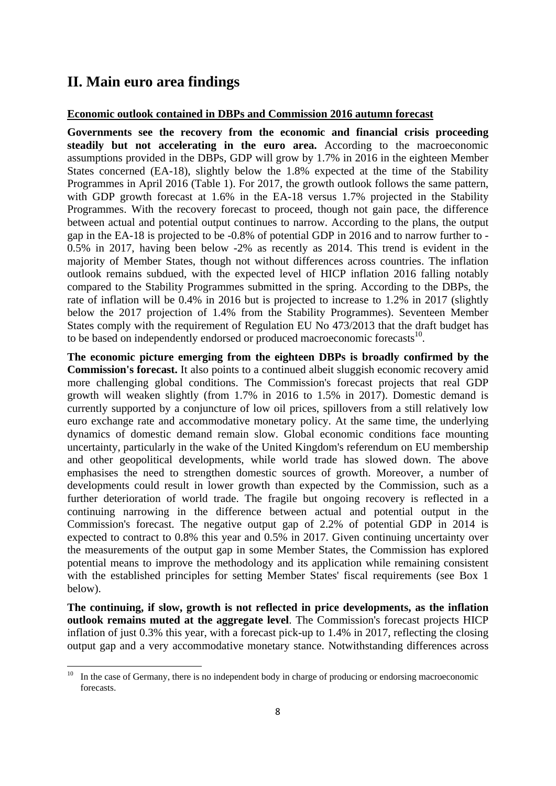# <span id="page-7-0"></span>**II. Main euro area findings**

#### **Economic outlook contained in DBPs and Commission 2016 autumn forecast**

**Governments see the recovery from the economic and financial crisis proceeding steadily but not accelerating in the euro area.** According to the macroeconomic assumptions provided in the DBPs, GDP will grow by 1.7% in 2016 in the eighteen Member States concerned (EA-18), slightly below the 1.8% expected at the time of the Stability Programmes in April 2016 (Table 1). For 2017, the growth outlook follows the same pattern, with GDP growth forecast at 1.6% in the EA-18 versus 1.7% projected in the Stability Programmes. With the recovery forecast to proceed, though not gain pace, the difference between actual and potential output continues to narrow. According to the plans, the output gap in the EA-18 is projected to be -0.8% of potential GDP in 2016 and to narrow further to - 0.5% in 2017, having been below -2% as recently as 2014. This trend is evident in the majority of Member States, though not without differences across countries. The inflation outlook remains subdued, with the expected level of HICP inflation 2016 falling notably compared to the Stability Programmes submitted in the spring. According to the DBPs, the rate of inflation will be 0.4% in 2016 but is projected to increase to 1.2% in 2017 (slightly below the 2017 projection of 1.4% from the Stability Programmes). Seventeen Member States comply with the requirement of Regulation EU No 473/2013 that the draft budget has to be based on independently endorsed or produced macroeconomic forecasts<sup>10</sup>.

**The economic picture emerging from the eighteen DBPs is broadly confirmed by the Commission's forecast.** It also points to a continued albeit sluggish economic recovery amid more challenging global conditions. The Commission's forecast projects that real GDP growth will weaken slightly (from 1.7% in 2016 to 1.5% in 2017). Domestic demand is currently supported by a conjuncture of low oil prices, spillovers from a still relatively low euro exchange rate and accommodative monetary policy. At the same time, the underlying dynamics of domestic demand remain slow. Global economic conditions face mounting uncertainty, particularly in the wake of the United Kingdom's referendum on EU membership and other geopolitical developments, while world trade has slowed down. The above emphasises the need to strengthen domestic sources of growth. Moreover, a number of developments could result in lower growth than expected by the Commission, such as a further deterioration of world trade. The fragile but ongoing recovery is reflected in a continuing narrowing in the difference between actual and potential output in the Commission's forecast. The negative output gap of 2.2% of potential GDP in 2014 is expected to contract to 0.8% this year and 0.5% in 2017. Given continuing uncertainty over the measurements of the output gap in some Member States, the Commission has explored potential means to improve the methodology and its application while remaining consistent with the established principles for setting Member States' fiscal requirements (see Box 1 below).

**The continuing, if slow, growth is not reflected in price developments, as the inflation outlook remains muted at the aggregate level**. The Commission's forecast projects HICP inflation of just 0.3% this year, with a forecast pick-up to 1.4% in 2017, reflecting the closing output gap and a very accommodative monetary stance. Notwithstanding differences across

 $10$ In the case of Germany, there is no independent body in charge of producing or endorsing macroeconomic forecasts.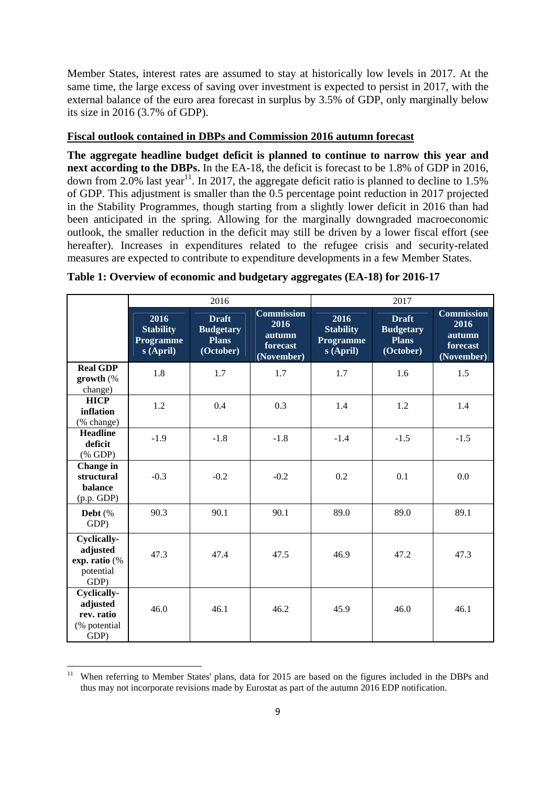Member States, interest rates are assumed to stay at historically low levels in 2017. At the same time, the large excess of saving over investment is expected to persist in 2017, with the external balance of the euro area forecast in surplus by 3.5% of GDP, only marginally below its size in 2016 (3.7% of GDP).

#### **Fiscal outlook contained in DBPs and Commission 2016 autumn forecast**

**The aggregate headline budget deficit is planned to continue to narrow this year and next according to the DBPs.** In the EA-18, the deficit is forecast to be 1.8% of GDP in 2016, down from 2.0% last year<sup>11</sup>. In 2017, the aggregate deficit ratio is planned to decline to 1.5% of GDP. This adjustment is smaller than the 0.5 percentage point reduction in 2017 projected in the Stability Programmes, though starting from a slightly lower deficit in 2016 than had been anticipated in the spring. Allowing for the marginally downgraded macroeconomic outlook, the smaller reduction in the deficit may still be driven by a lower fiscal effort (see hereafter). Increases in expenditures related to the refugee crisis and security-related measures are expected to contribute to expenditure developments in a few Member States.

|                                                                       | 2016                                                      |                                                               | 2017                                                          |                                                    |                                                               |                                                        |
|-----------------------------------------------------------------------|-----------------------------------------------------------|---------------------------------------------------------------|---------------------------------------------------------------|----------------------------------------------------|---------------------------------------------------------------|--------------------------------------------------------|
|                                                                       | 2016<br><b>Stability</b><br><b>Programme</b><br>s (April) | <b>Draft</b><br><b>Budgetary</b><br><b>Plans</b><br>(October) | <b>Commission</b><br>2016<br>autumn<br>forecast<br>(November) | 2016<br><b>Stability</b><br>Programme<br>s (April) | <b>Draft</b><br><b>Budgetary</b><br><b>Plans</b><br>(October) | Commission<br>2016<br>autumn<br>forecast<br>(November) |
| <b>Real GDP</b><br>growth (%<br>change)                               | 1.8                                                       | 1.7                                                           | 1.7                                                           | 1.7                                                | 1.6                                                           | 1.5                                                    |
| <b>HICP</b><br>inflation<br>(% change)                                | 1.2                                                       | 0.4                                                           | 0.3                                                           | 1.4                                                | 1.2                                                           | 1.4                                                    |
| <b>Headline</b><br>deficit<br>$(% \mathbf{A})$ (% GDP)                | $-1.9$                                                    | $-1.8$                                                        | $-1.8$                                                        | $-1.4$                                             | $-1.5$                                                        | $-1.5$                                                 |
| Change in<br>structural<br>balance<br>(p.p. GDP)                      | $-0.3$                                                    | $-0.2$                                                        | $-0.2$                                                        | 0.2                                                | 0.1                                                           | 0.0                                                    |
| Debt $(\%$<br>GDP)                                                    | 90.3                                                      | 90.1                                                          | 90.1                                                          | 89.0                                               | 89.0                                                          | 89.1                                                   |
| <b>Cyclically-</b><br>adjusted<br>exp. ratio (%<br>potential<br>GDP)  | 47.3                                                      | 47.4                                                          | 47.5                                                          | 46.9                                               | 47.2                                                          | 47.3                                                   |
| <b>Cyclically-</b><br>adjusted<br>rev. ratio<br>(% potential)<br>GDP) | 46.0                                                      | 46.1                                                          | 46.2                                                          | 45.9                                               | 46.0                                                          | 46.1                                                   |

**.** 

When referring to Member States' plans, data for 2015 are based on the figures included in the DBPs and thus may not incorporate revisions made by Eurostat as part of the autumn 2016 EDP notification.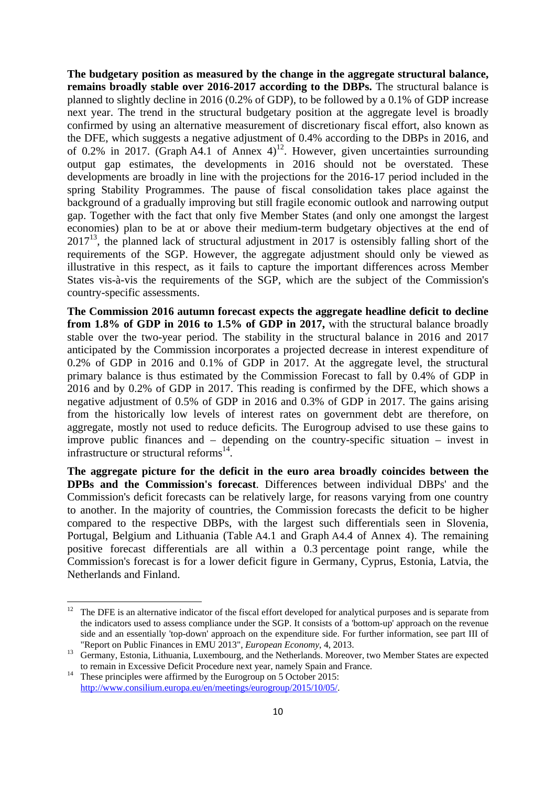**The budgetary position as measured by the change in the aggregate structural balance, remains broadly stable over 2016-2017 according to the DBPs.** The structural balance is planned to slightly decline in 2016 (0.2% of GDP), to be followed by a 0.1% of GDP increase next year. The trend in the structural budgetary position at the aggregate level is broadly confirmed by using an alternative measurement of discretionary fiscal effort, also known as the DFE, which suggests a negative adjustment of 0.4% according to the DBPs in 2016, and of 0.2% in 2017. (Graph A4.1 of Annex 4)<sup>12</sup>. However, given uncertainties surrounding output gap estimates, the developments in 2016 should not be overstated. These developments are broadly in line with the projections for the 2016-17 period included in the spring Stability Programmes. The pause of fiscal consolidation takes place against the background of a gradually improving but still fragile economic outlook and narrowing output gap. Together with the fact that only five Member States (and only one amongst the largest economies) plan to be at or above their medium-term budgetary objectives at the end of  $2017<sup>13</sup>$ , the planned lack of structural adjustment in 2017 is ostensibly falling short of the requirements of the SGP. However, the aggregate adjustment should only be viewed as illustrative in this respect, as it fails to capture the important differences across Member States vis-à-vis the requirements of the SGP, which are the subject of the Commission's country-specific assessments.

**The Commission 2016 autumn forecast expects the aggregate headline deficit to decline from 1.8% of GDP in 2016 to 1.5% of GDP in 2017,** with the structural balance broadly stable over the two-year period. The stability in the structural balance in 2016 and 2017 anticipated by the Commission incorporates a projected decrease in interest expenditure of 0.2% of GDP in 2016 and 0.1% of GDP in 2017. At the aggregate level, the structural primary balance is thus estimated by the Commission Forecast to fall by 0.4% of GDP in 2016 and by 0.2% of GDP in 2017. This reading is confirmed by the DFE, which shows a negative adjustment of 0.5% of GDP in 2016 and 0.3% of GDP in 2017. The gains arising from the historically low levels of interest rates on government debt are therefore, on aggregate, mostly not used to reduce deficits. The Eurogroup advised to use these gains to improve public finances and – depending on the country-specific situation – invest in infrastructure or structural reforms<sup>14</sup>.

**The aggregate picture for the deficit in the euro area broadly coincides between the DPBs and the Commission's forecast**. Differences between individual DBPs' and the Commission's deficit forecasts can be relatively large, for reasons varying from one country to another. In the majority of countries, the Commission forecasts the deficit to be higher compared to the respective DBPs, with the largest such differentials seen in Slovenia, Portugal, Belgium and Lithuania (Table A4.1 and Graph A4.4 of Annex 4). The remaining positive forecast differentials are all within a 0.3 percentage point range, while the Commission's forecast is for a lower deficit figure in Germany, Cyprus, Estonia, Latvia, the Netherlands and Finland.

 $12$ 12 The DFE is an alternative indicator of the fiscal effort developed for analytical purposes and is separate from the indicators used to assess compliance under the SGP. It consists of a 'bottom-up' approach on the revenue side and an essentially 'top-down' approach on the expenditure side. For further information, see part III of

<sup>&</sup>quot;Report on Public Finances in EMU 2013", *European Economy*, 4, 2013.<br>
<sup>13</sup> Germany, Estonia, Lithuania, Luxembourg, and the Netherlands. Moreover, two Member States are expected<br>
to remain in Excessive Deficit Procedure n

<sup>&</sup>lt;sup>14</sup> These principles were affirmed by the Eurogroup on 5 October 2015: [http://www.consilium.europa.eu/en/me](http://www.consilium.europa.eu/en/meetings/eurogroup/2015/10/05/)etings/eurogroup/2015/10/05/.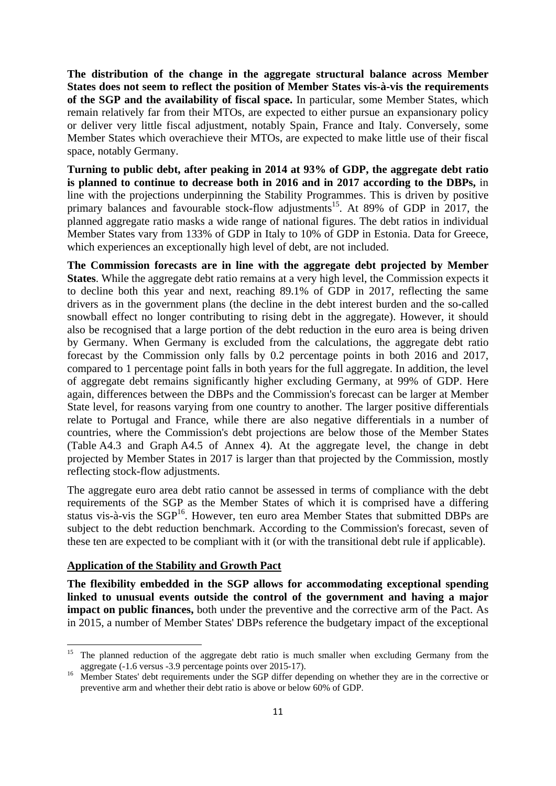**The distribution of the change in the aggregate structural balance across Member States does not seem to reflect the position of Member States vis-à-vis the requirements of the SGP and the availability of fiscal space.** In particular, some Member States, which remain relatively far from their MTOs, are expected to either pursue an expansionary policy or deliver very little fiscal adjustment, notably Spain, France and Italy. Conversely, some Member States which overachieve their MTOs, are expected to make little use of their fiscal space, notably Germany.

**Turning to public debt, after peaking in 2014 at 93% of GDP, the aggregate debt ratio is planned to continue to decrease both in 2016 and in 2017 according to the DBPs,** in line with the projections underpinning the Stability Programmes. This is driven by positive primary balances and favourable stock-flow adjustments<sup>15</sup>. At 89% of GDP in 2017, the planned aggregate ratio masks a wide range of national figures. The debt ratios in individual Member States vary from 133% of GDP in Italy to 10% of GDP in Estonia. Data for Greece, which experiences an exceptionally high level of debt, are not included.

**The Commission forecasts are in line with the aggregate debt projected by Member States**. While the aggregate debt ratio remains at a very high level, the Commission expects it to decline both this year and next, reaching 89.1% of GDP in 2017, reflecting the same drivers as in the government plans (the decline in the debt interest burden and the so-called snowball effect no longer contributing to rising debt in the aggregate). However, it should also be recognised that a large portion of the debt reduction in the euro area is being driven by Germany. When Germany is excluded from the calculations, the aggregate debt ratio forecast by the Commission only falls by 0.2 percentage points in both 2016 and 2017, compared to 1 percentage point falls in both years for the full aggregate. In addition, the level of aggregate debt remains significantly higher excluding Germany, at 99% of GDP. Here again, differences between the DBPs and the Commission's forecast can be larger at Member State level, for reasons varying from one country to another. The larger positive differentials relate to Portugal and France, while there are also negative differentials in a number of countries, where the Commission's debt projections are below those of the Member States (Table A4.3 and Graph A4.5 of Annex 4). At the aggregate level, the change in debt projected by Member States in 2017 is larger than that projected by the Commission, mostly reflecting stock-flow adjustments.

The aggregate euro area debt ratio cannot be assessed in terms of compliance with the debt requirements of the SGP as the Member States of which it is comprised have a differing status vis-à-vis the SGP<sup>16</sup>. However, ten euro area Member States that submitted DBPs are subject to the debt reduction benchmark. According to the Commission's forecast, seven of these ten are expected to be compliant with it (or with the transitional debt rule if applicable).

#### **Application of the Stability and Growth Pact**

**.** 

**The flexibility embedded in the SGP allows for accommodating exceptional spending linked to unusual events outside the control of the government and having a major impact on public finances,** both under the preventive and the corrective arm of the Pact. As in 2015, a number of Member States' DBPs reference the budgetary impact of the exceptional

<sup>&</sup>lt;sup>15</sup> The planned reduction of the aggregate debt ratio is much smaller when excluding Germany from the aggregate (-1.6 versus -3.9 percentage points over 2015-17).<br>Member States' debt requirements under the SGP differ depending on whether they are in the corrective or

preventive arm and whether their debt ratio is above or below 60% of GDP.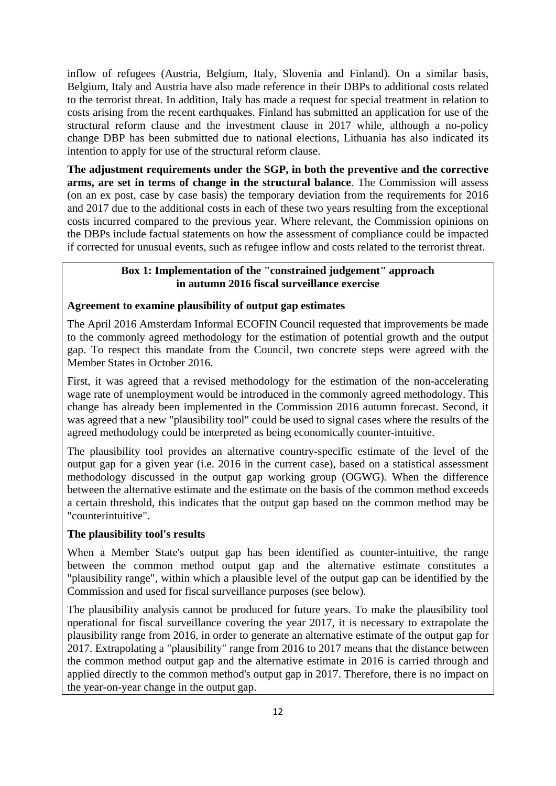inflow of refugees (Austria, Belgium, Italy, Slovenia and Finland). On a similar basis, Belgium, Italy and Austria have also made reference in their DBPs to additional costs related to the terrorist threat. In addition, Italy has made a request for special treatment in relation to costs arising from the recent earthquakes. Finland has submitted an application for use of the structural reform clause and the investment clause in 2017 while, although a no-policy change DBP has been submitted due to national elections, Lithuania has also indicated its intention to apply for use of the structural reform clause.

**The adjustment requirements under the SGP, in both the preventive and the corrective arms, are set in terms of change in the structural balance**. The Commission will assess (on an ex post, case by case basis) the temporary deviation from the requirements for 2016 and 2017 due to the additional costs in each of these two years resulting from the exceptional costs incurred compared to the previous year. Where relevant, the Commission opinions on the DBPs include factual statements on how the assessment of compliance could be impacted if corrected for unusual events, such as refugee inflow and costs related to the terrorist threat.

## **Box 1: Implementation of the "constrained judgement" approach in autumn 2016 fiscal surveillance exercise**

## **Agreement to examine plausibility of output gap estimates**

The April 2016 Amsterdam Informal ECOFIN Council requested that improvements be made to the commonly agreed methodology for the estimation of potential growth and the output gap. To respect this mandate from the Council, two concrete steps were agreed with the Member States in October 2016.

First, it was agreed that a revised methodology for the estimation of the non-accelerating wage rate of unemployment would be introduced in the commonly agreed methodology. This change has already been implemented in the Commission 2016 autumn forecast. Second, it was agreed that a new "plausibility tool" could be used to signal cases where the results of the agreed methodology could be interpreted as being economically counter-intuitive.

The plausibility tool provides an alternative country-specific estimate of the level of the output gap for a given year (i.e. 2016 in the current case), based on a statistical assessment methodology discussed in the output gap working group (OGWG). When the difference between the alternative estimate and the estimate on the basis of the common method exceeds a certain threshold, this indicates that the output gap based on the common method may be "counterintuitive".

## **The plausibility tool's results**

When a Member State's output gap has been identified as counter-intuitive, the range between the common method output gap and the alternative estimate constitutes a "plausibility range", within which a plausible level of the output gap can be identified by the Commission and used for fiscal surveillance purposes (see below).

The plausibility analysis cannot be produced for future years. To make the plausibility tool operational for fiscal surveillance covering the year 2017, it is necessary to extrapolate the plausibility range from 2016, in order to generate an alternative estimate of the output gap for 2017. Extrapolating a "plausibility" range from 2016 to 2017 means that the distance between the common method output gap and the alternative estimate in 2016 is carried through and applied directly to the common method's output gap in 2017. Therefore, there is no impact on the year-on-year change in the output gap.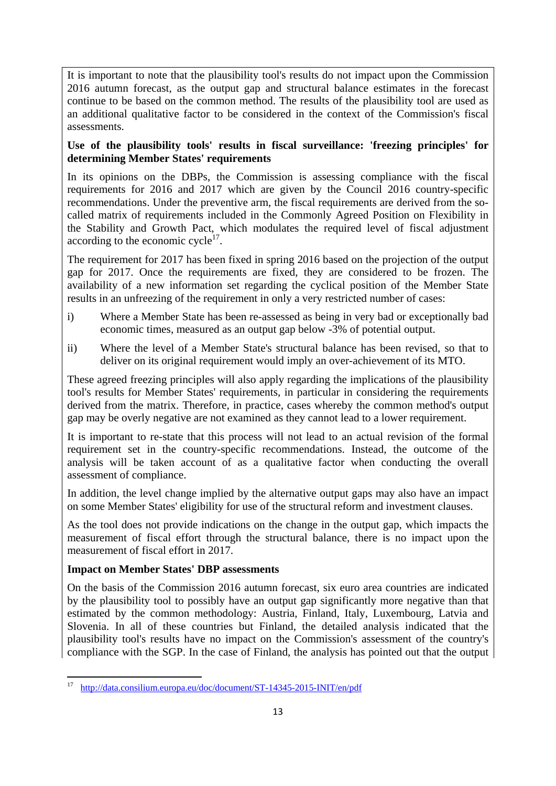It is important to note that the plausibility tool's results do not impact upon the Commission 2016 autumn forecast, as the output gap and structural balance estimates in the forecast continue to be based on the common method. The results of the plausibility tool are used as an additional qualitative factor to be considered in the context of the Commission's fiscal assessments.

## **Use of the plausibility tools' results in fiscal surveillance: 'freezing principles' for determining Member States' requirements**

In its opinions on the DBPs, the Commission is assessing compliance with the fiscal requirements for 2016 and 2017 which are given by the Council 2016 country-specific recommendations. Under the preventive arm, the fiscal requirements are derived from the socalled matrix of requirements included in the Commonly Agreed Position on Flexibility in the Stability and Growth Pact, which modulates the required level of fiscal adjustment according to the economic cycle<sup>17</sup>.

The requirement for 2017 has been fixed in spring 2016 based on the projection of the output gap for 2017. Once the requirements are fixed, they are considered to be frozen. The availability of a new information set regarding the cyclical position of the Member State results in an unfreezing of the requirement in only a very restricted number of cases:

- i) Where a Member State has been re-assessed as being in very bad or exceptionally bad economic times, measured as an output gap below -3% of potential output.
- ii) Where the level of a Member State's structural balance has been revised, so that to deliver on its original requirement would imply an over-achievement of its MTO.

These agreed freezing principles will also apply regarding the implications of the plausibility tool's results for Member States' requirements, in particular in considering the requirements derived from the matrix. Therefore, in practice, cases whereby the common method's output gap may be overly negative are not examined as they cannot lead to a lower requirement.

It is important to re-state that this process will not lead to an actual revision of the formal requirement set in the country-specific recommendations. Instead, the outcome of the analysis will be taken account of as a qualitative factor when conducting the overall assessment of compliance.

In addition, the level change implied by the alternative output gaps may also have an impact on some Member States' eligibility for use of the structural reform and investment clauses.

As the tool does not provide indications on the change in the output gap, which impacts the measurement of fiscal effort through the structural balance, there is no impact upon the measurement of fiscal effort in 2017.

## **Impact on Member States' DBP assessments**

On the basis of the Commission 2016 autumn forecast, six euro area countries are indicated by the plausibility tool to possibly have an output gap significantly more negative than that estimated by the common methodology: Austria, Finland, Italy, Luxembourg, Latvia and Slovenia. In all of these countries but Finland, the detailed analysis indicated that the plausibility tool's results have no impact on the Commission's assessment of the country's compliance with the SGP. In the case of Finland, the analysis has pointed out that the output

**<sup>.</sup>** 17 [http://data.consilium.europa.eu/doc/](http://data.consilium.europa.eu/doc/document/ST-14345-2015-INIT/en/pdf)document/ST-14345-2015-INIT/en/pdf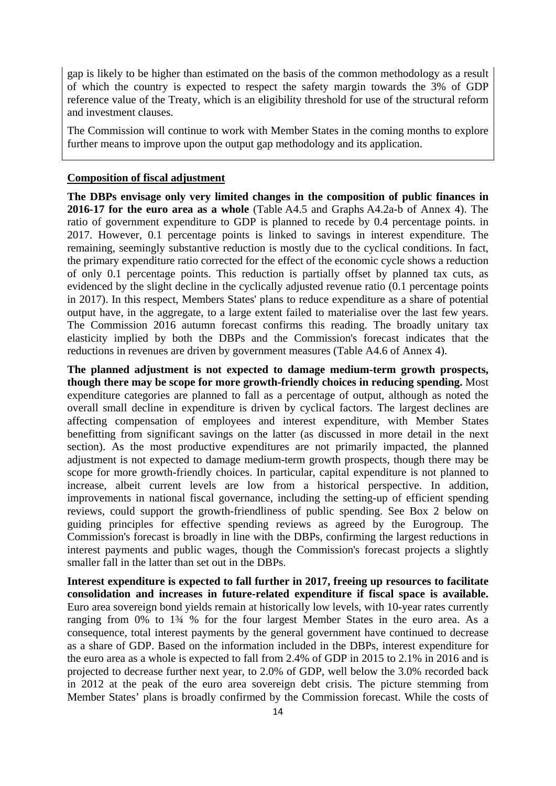gap is likely to be higher than estimated on the basis of the common methodology as a result of which the country is expected to respect the safety margin towards the 3% of GDP reference value of the Treaty, which is an eligibility threshold for use of the structural reform and investment clauses.

The Commission will continue to work with Member States in the coming months to explore further means to improve upon the output gap methodology and its application.

### **Composition of fiscal adjustment**

**The DBPs envisage only very limited changes in the composition of public finances in 2016-17 for the euro area as a whole** (Table A4.5 and Graphs A4.2a-b of Annex 4). The ratio of government expenditure to GDP is planned to recede by 0.4 percentage points. in 2017. However, 0.1 percentage points is linked to savings in interest expenditure. The remaining, seemingly substantive reduction is mostly due to the cyclical conditions. In fact, the primary expenditure ratio corrected for the effect of the economic cycle shows a reduction of only 0.1 percentage points. This reduction is partially offset by planned tax cuts, as evidenced by the slight decline in the cyclically adjusted revenue ratio (0.1 percentage points in 2017). In this respect, Members States' plans to reduce expenditure as a share of potential output have, in the aggregate, to a large extent failed to materialise over the last few years. The Commission 2016 autumn forecast confirms this reading. The broadly unitary tax elasticity implied by both the DBPs and the Commission's forecast indicates that the reductions in revenues are driven by government measures (Table A4.6 of Annex 4).

**The planned adjustment is not expected to damage medium-term growth prospects, though there may be scope for more growth-friendly choices in reducing spending.** Most expenditure categories are planned to fall as a percentage of output, although as noted the overall small decline in expenditure is driven by cyclical factors. The largest declines are affecting compensation of employees and interest expenditure, with Member States benefitting from significant savings on the latter (as discussed in more detail in the next section). As the most productive expenditures are not primarily impacted, the planned adjustment is not expected to damage medium-term growth prospects, though there may be scope for more growth-friendly choices. In particular, capital expenditure is not planned to increase, albeit current levels are low from a historical perspective. In addition, improvements in national fiscal governance, including the setting-up of efficient spending reviews, could support the growth-friendliness of public spending. See Box 2 below on guiding principles for effective spending reviews as agreed by the Eurogroup. The Commission's forecast is broadly in line with the DBPs, confirming the largest reductions in interest payments and public wages, though the Commission's forecast projects a slightly smaller fall in the latter than set out in the DBPs.

**Interest expenditure is expected to fall further in 2017, freeing up resources to facilitate consolidation and increases in future-related expenditure if fiscal space is available.**  Euro area sovereign bond yields remain at historically low levels, with 10-year rates currently ranging from 0% to 1¾ % for the four largest Member States in the euro area. As a consequence, total interest payments by the general government have continued to decrease as a share of GDP. Based on the information included in the DBPs, interest expenditure for the euro area as a whole is expected to fall from 2.4% of GDP in 2015 to 2.1% in 2016 and is projected to decrease further next year, to 2.0% of GDP, well below the 3.0% recorded back in 2012 at the peak of the euro area sovereign debt crisis. The picture stemming from Member States' plans is broadly confirmed by the Commission forecast. While the costs of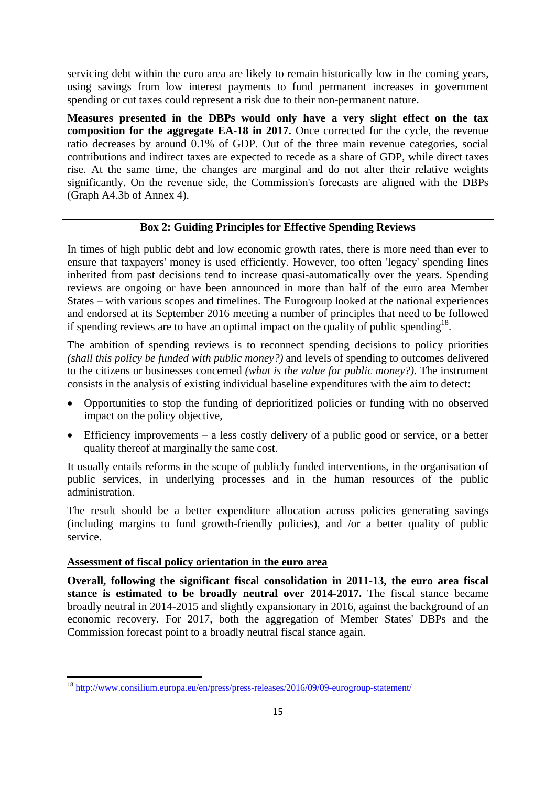servicing debt within the euro area are likely to remain historically low in the coming years, using savings from low interest payments to fund permanent increases in government spending or cut taxes could represent a risk due to their non-permanent nature.

**Measures presented in the DBPs would only have a very slight effect on the tax composition for the aggregate EA-18 in 2017.** Once corrected for the cycle, the revenue ratio decreases by around 0.1% of GDP. Out of the three main revenue categories, social contributions and indirect taxes are expected to recede as a share of GDP, while direct taxes rise. At the same time, the changes are marginal and do not alter their relative weights significantly. On the revenue side, the Commission's forecasts are aligned with the DBPs (Graph A4.3b of Annex 4).

## **Box 2: Guiding Principles for Effective Spending Reviews**

In times of high public debt and low economic growth rates, there is more need than ever to ensure that taxpayers' money is used efficiently. However, too often 'legacy' spending lines inherited from past decisions tend to increase quasi-automatically over the years. Spending reviews are ongoing or have been announced in more than half of the euro area Member States – with various scopes and timelines. The Eurogroup looked at the national experiences and endorsed at its September 2016 meeting a number of principles that need to be followed if spending reviews are to have an optimal impact on the quality of public spending<sup>18</sup>.

The ambition of spending reviews is to reconnect spending decisions to policy priorities *(shall this policy be funded with public money?)* and levels of spending to outcomes delivered to the citizens or businesses concerned *(what is the value for public money?).* The instrument consists in the analysis of existing individual baseline expenditures with the aim to detect:

- Opportunities to stop the funding of deprioritized policies or funding with no observed impact on the policy objective,
- Efficiency improvements a less costly delivery of a public good or service, or a better quality thereof at marginally the same cost.

It usually entails reforms in the scope of publicly funded interventions, in the organisation of public services, in underlying processes and in the human resources of the public administration.

The result should be a better expenditure allocation across policies generating savings (including margins to fund growth-friendly policies), and /or a better quality of public service.

### **Assessment of fiscal policy orientation in the euro area**

**.** 

**Overall, following the significant fiscal consolidation in 2011-13, the euro area fiscal stance is estimated to be broadly neutral over 2014-2017.** The fiscal stance became broadly neutral in 2014-2015 and slightly expansionary in 2016, against the background of an economic recovery. For 2017, both the aggregation of Member States' DBPs and the Commission forecast point to a broadly neutral fiscal stance again.

<sup>18</sup> <http://www.consilium.europa.eu/en/press/press-releases/2016/09/09-eurogroup-statement/>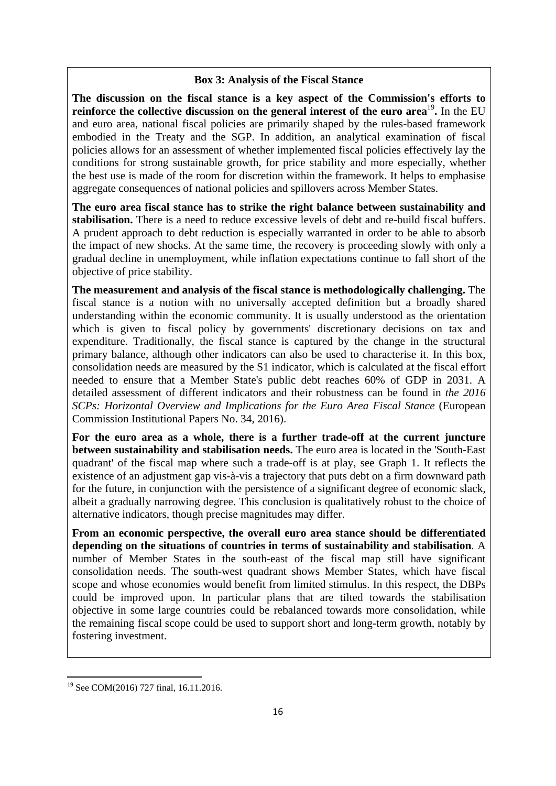### **Box 3: Analysis of the Fiscal Stance**

**The discussion on the fiscal stance is a key aspect of the Commission's efforts to reinforce the collective discussion on the general interest of the euro area<sup>19</sup>. In the EU** and euro area, national fiscal policies are primarily shaped by the rules-based framework embodied in the Treaty and the SGP. In addition, an analytical examination of fiscal policies allows for an assessment of whether implemented fiscal policies effectively lay the conditions for strong sustainable growth, for price stability and more especially, whether the best use is made of the room for discretion within the framework. It helps to emphasise aggregate consequences of national policies and spillovers across Member States.

**The euro area fiscal stance has to strike the right balance between sustainability and stabilisation.** There is a need to reduce excessive levels of debt and re-build fiscal buffers. A prudent approach to debt reduction is especially warranted in order to be able to absorb the impact of new shocks. At the same time, the recovery is proceeding slowly with only a gradual decline in unemployment, while inflation expectations continue to fall short of the objective of price stability.

**The measurement and analysis of the fiscal stance is methodologically challenging.** The fiscal stance is a notion with no universally accepted definition but a broadly shared understanding within the economic community. It is usually understood as the orientation which is given to fiscal policy by governments' discretionary decisions on tax and expenditure. Traditionally, the fiscal stance is captured by the change in the structural primary balance, although other indicators can also be used to characterise it. In this box, consolidation needs are measured by the S1 indicator, which is calculated at the fiscal effort needed to ensure that a Member State's public debt reaches 60% of GDP in 2031. A detailed assessment of different indicators and their robustness can be found in *the 2016 SCPs: Horizontal Overview and Implications for the Euro Area Fiscal Stance* (European Commission Institutional Papers No. 34, 2016).

**For the euro area as a whole, there is a further trade-off at the current juncture between sustainability and stabilisation needs.** The euro area is located in the 'South-East quadrant' of the fiscal map where such a trade-off is at play, see Graph 1. It reflects the existence of an adjustment gap vis-à-vis a trajectory that puts debt on a firm downward path for the future, in conjunction with the persistence of a significant degree of economic slack, albeit a gradually narrowing degree. This conclusion is qualitatively robust to the choice of alternative indicators, though precise magnitudes may differ.

**From an economic perspective, the overall euro area stance should be differentiated depending on the situations of countries in terms of sustainability and stabilisation**. A number of Member States in the south-east of the fiscal map still have significant consolidation needs. The south-west quadrant shows Member States, which have fiscal scope and whose economies would benefit from limited stimulus. In this respect, the DBPs could be improved upon. In particular plans that are tilted towards the stabilisation objective in some large countries could be rebalanced towards more consolidation, while the remaining fiscal scope could be used to support short and long-term growth, notably by fostering investment.

**.** 

<sup>&</sup>lt;sup>19</sup> See COM(2016) 727 final, 16.11.2016.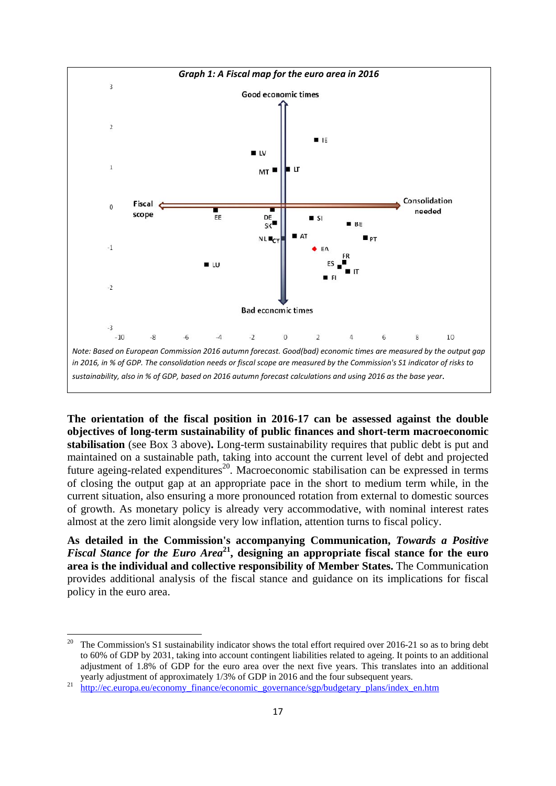

**The orientation of the fiscal position in 2016-17 can be assessed against the double objectives of long-term sustainability of public finances and short-term macroeconomic stabilisation** (see Box 3 above)**.** Long-term sustainability requires that public debt is put and maintained on a sustainable path, taking into account the current level of debt and projected future ageing-related expenditures<sup>20</sup>. Macroeconomic stabilisation can be expressed in terms of closing the output gap at an appropriate pace in the short to medium term while, in the current situation, also ensuring a more pronounced rotation from external to domestic sources of growth. As monetary policy is already very accommodative, with nominal interest rates almost at the zero limit alongside very low inflation, attention turns to fiscal policy.

**As detailed in the Commission's accompanying Communication,** *Towards a Positive Fiscal Stance for the Euro Area***21, designing an appropriate fiscal stance for the euro area is the individual and collective responsibility of Member States.** The Communication provides additional analysis of the fiscal stance and guidance on its implications for fiscal policy in the euro area.

<sup>20</sup> 20 The Commission's S1 sustainability indicator shows the total effort required over 2016-21 so as to bring debt to 60% of GDP by 2031, taking into account contingent liabilities related to ageing. It points to an additional adjustment of 1.8% of GDP for the euro area over the next five years. This translates into an additional yearly adjustment of approximately 1/3% of GDP in 2016 and the four subsequent years.<br><sup>21</sup> [http://ec.europa.eu/economy\\_finance/ec](http://ec.europa.eu/economy_finance/economic_governance/sgp/budgetary_plans/index_en.htm)onomic\_governance/sgp/budgetary\_plans/index\_en.htm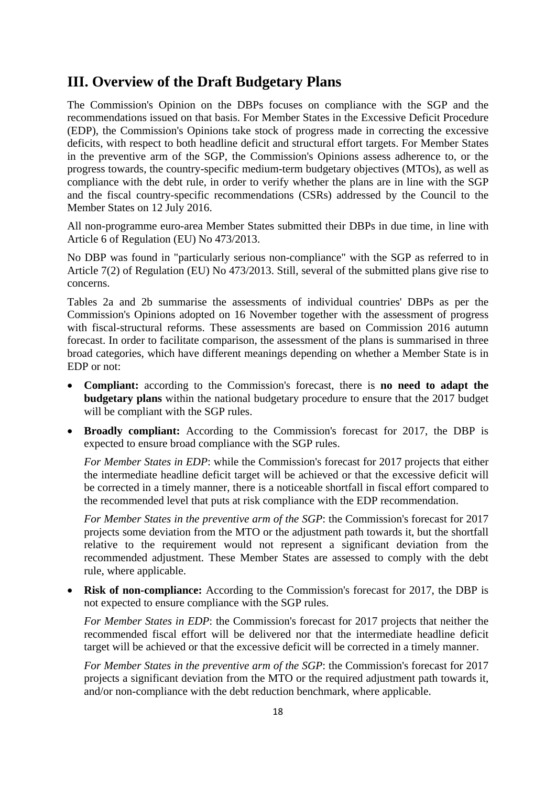# **III. Overview of the Draft Budgetary Plans**

The Commission's Opinion on the DBPs focuses on compliance with the SGP and the recommendations issued on that basis. For Member States in the Excessive Deficit Procedure (EDP), the Commission's Opinions take stock of progress made in correcting the excessive deficits, with respect to both headline deficit and structural effort targets. For Member States in the preventive arm of the SGP, the Commission's Opinions assess adherence to, or the progress towards, the country-specific medium-term budgetary objectives (MTOs), as well as compliance with the debt rule, in order to verify whether the plans are in line with the SGP and the fiscal country-specific recommendations (CSRs) addressed by the Council to the Member States on 12 July 2016.

All non-programme euro-area Member States submitted their DBPs in due time, in line with Article 6 of Regulation (EU) No 473/2013.

No DBP was found in "particularly serious non-compliance" with the SGP as referred to in Article 7(2) of Regulation (EU) No 473/2013. Still, several of the submitted plans give rise to concerns.

Tables 2a and 2b summarise the assessments of individual countries' DBPs as per the Commission's Opinions adopted on 16 November together with the assessment of progress with fiscal-structural reforms. These assessments are based on Commission 2016 autumn forecast. In order to facilitate comparison, the assessment of the plans is summarised in three broad categories, which have different meanings depending on whether a Member State is in EDP or not:

- **Compliant:** according to the Commission's forecast, there is **no need to adapt the budgetary plans** within the national budgetary procedure to ensure that the 2017 budget will be compliant with the SGP rules.
- **Broadly compliant:** According to the Commission's forecast for 2017, the DBP is expected to ensure broad compliance with the SGP rules.

*For Member States in EDP*: while the Commission's forecast for 2017 projects that either the intermediate headline deficit target will be achieved or that the excessive deficit will be corrected in a timely manner, there is a noticeable shortfall in fiscal effort compared to the recommended level that puts at risk compliance with the EDP recommendation.

*For Member States in the preventive arm of the SGP*: the Commission's forecast for 2017 projects some deviation from the MTO or the adjustment path towards it, but the shortfall relative to the requirement would not represent a significant deviation from the recommended adjustment. These Member States are assessed to comply with the debt rule, where applicable.

• **Risk of non-compliance:** According to the Commission's forecast for 2017, the DBP is not expected to ensure compliance with the SGP rules.

*For Member States in EDP*: the Commission's forecast for 2017 projects that neither the recommended fiscal effort will be delivered nor that the intermediate headline deficit target will be achieved or that the excessive deficit will be corrected in a timely manner.

*For Member States in the preventive arm of the SGP*: the Commission's forecast for 2017 projects a significant deviation from the MTO or the required adjustment path towards it, and/or non-compliance with the debt reduction benchmark, where applicable.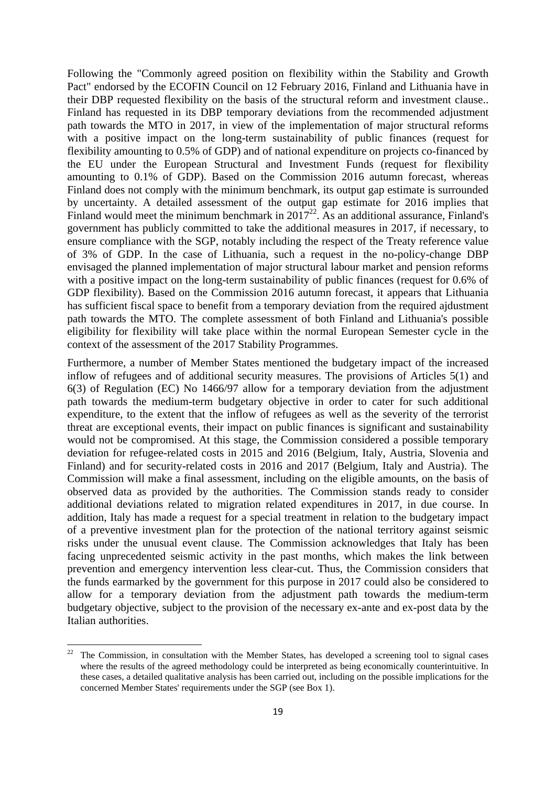Following the "Commonly agreed position on flexibility within the Stability and Growth Pact" endorsed by the ECOFIN Council on 12 February 2016, Finland and Lithuania have in their DBP requested flexibility on the basis of the structural reform and investment clause.. Finland has requested in its DBP temporary deviations from the recommended adjustment path towards the MTO in 2017, in view of the implementation of major structural reforms with a positive impact on the long-term sustainability of public finances (request for flexibility amounting to 0.5% of GDP) and of national expenditure on projects co-financed by the EU under the European Structural and Investment Funds (request for flexibility amounting to 0.1% of GDP). Based on the Commission 2016 autumn forecast, whereas Finland does not comply with the minimum benchmark, its output gap estimate is surrounded by uncertainty. A detailed assessment of the output gap estimate for 2016 implies that Finland would meet the minimum benchmark in  $2017^{22}$ . As an additional assurance, Finland's government has publicly committed to take the additional measures in 2017, if necessary, to ensure compliance with the SGP, notably including the respect of the Treaty reference value of 3% of GDP. In the case of Lithuania, such a request in the no-policy-change DBP envisaged the planned implementation of major structural labour market and pension reforms with a positive impact on the long-term sustainability of public finances (request for 0.6% of GDP flexibility). Based on the Commission 2016 autumn forecast, it appears that Lithuania has sufficient fiscal space to benefit from a temporary deviation from the required ajdustment path towards the MTO. The complete assessment of both Finland and Lithuania's possible eligibility for flexibility will take place within the normal European Semester cycle in the context of the assessment of the 2017 Stability Programmes.

Furthermore, a number of Member States mentioned the budgetary impact of the increased inflow of refugees and of additional security measures. The provisions of Articles 5(1) and 6(3) of Regulation (EC) No 1466/97 allow for a temporary deviation from the adjustment path towards the medium-term budgetary objective in order to cater for such additional expenditure, to the extent that the inflow of refugees as well as the severity of the terrorist threat are exceptional events, their impact on public finances is significant and sustainability would not be compromised. At this stage, the Commission considered a possible temporary deviation for refugee-related costs in 2015 and 2016 (Belgium, Italy, Austria, Slovenia and Finland) and for security-related costs in 2016 and 2017 (Belgium, Italy and Austria). The Commission will make a final assessment, including on the eligible amounts, on the basis of observed data as provided by the authorities. The Commission stands ready to consider additional deviations related to migration related expenditures in 2017, in due course. In addition, Italy has made a request for a special treatment in relation to the budgetary impact of a preventive investment plan for the protection of the national territory against seismic risks under the unusual event clause. The Commission acknowledges that Italy has been facing unprecedented seismic activity in the past months, which makes the link between prevention and emergency intervention less clear-cut. Thus, the Commission considers that the funds earmarked by the government for this purpose in 2017 could also be considered to allow for a temporary deviation from the adjustment path towards the medium-term budgetary objective, subject to the provision of the necessary ex-ante and ex-post data by the Italian authorities.

**.** 

 $22$  The Commission, in consultation with the Member States, has developed a screening tool to signal cases where the results of the agreed methodology could be interpreted as being economically counterintuitive. In these cases, a detailed qualitative analysis has been carried out, including on the possible implications for the concerned Member States' requirements under the SGP (see Box 1).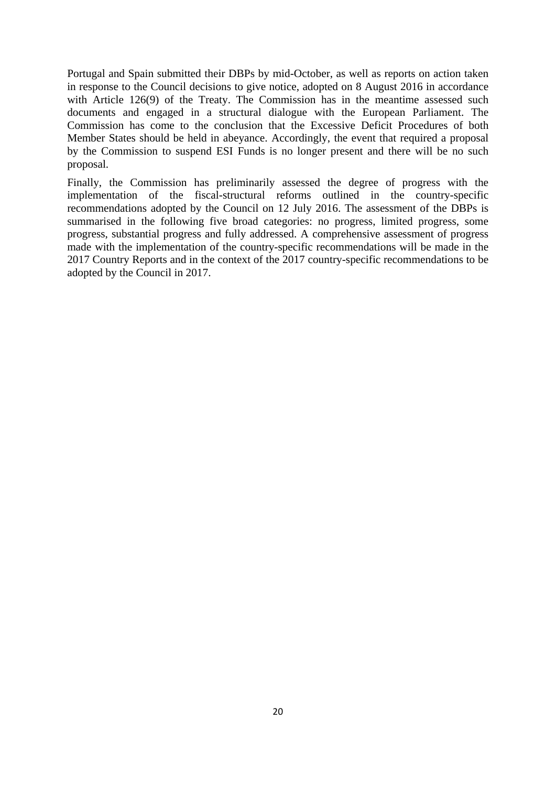Portugal and Spain submitted their DBPs by mid-October, as well as reports on action taken in response to the Council decisions to give notice, adopted on 8 August 2016 in accordance with Article 126(9) of the Treaty. The Commission has in the meantime assessed such documents and engaged in a structural dialogue with the European Parliament. The Commission has come to the conclusion that the Excessive Deficit Procedures of both Member States should be held in abeyance. Accordingly, the event that required a proposal by the Commission to suspend ESI Funds is no longer present and there will be no such proposal.

Finally, the Commission has preliminarily assessed the degree of progress with the implementation of the fiscal-structural reforms outlined in the country-specific recommendations adopted by the Council on 12 July 2016. The assessment of the DBPs is summarised in the following five broad categories: no progress, limited progress, some progress, substantial progress and fully addressed. A comprehensive assessment of progress made with the implementation of the country-specific recommendations will be made in the 2017 Country Reports and in the context of the 2017 country-specific recommendations to be adopted by the Council in 2017.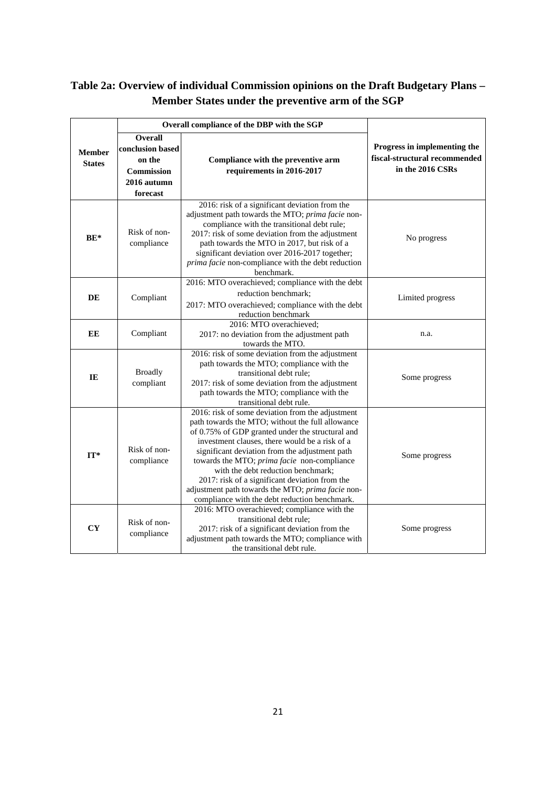# **Table 2a: Overview of individual Commission opinions on the Draft Budgetary Plans – Member States under the preventive arm of the SGP**

|                                | Overall compliance of the DBP with the SGP                                            |                                                                                                                                                                                                                                                                                                                                                                                                                                                                                                           |                                                                                   |
|--------------------------------|---------------------------------------------------------------------------------------|-----------------------------------------------------------------------------------------------------------------------------------------------------------------------------------------------------------------------------------------------------------------------------------------------------------------------------------------------------------------------------------------------------------------------------------------------------------------------------------------------------------|-----------------------------------------------------------------------------------|
| <b>Member</b><br><b>States</b> | Overall<br>conclusion based<br>on the<br><b>Commission</b><br>2016 autumn<br>forecast | Compliance with the preventive arm<br>requirements in 2016-2017                                                                                                                                                                                                                                                                                                                                                                                                                                           | Progress in implementing the<br>fiscal-structural recommended<br>in the 2016 CSRs |
| $BE*$                          | Risk of non-<br>compliance                                                            | 2016: risk of a significant deviation from the<br>adjustment path towards the MTO; prima facie non-<br>compliance with the transitional debt rule;<br>2017: risk of some deviation from the adjustment<br>path towards the MTO in 2017, but risk of a<br>significant deviation over 2016-2017 together;<br>prima facie non-compliance with the debt reduction<br>benchmark.                                                                                                                               | No progress                                                                       |
| <b>DE</b>                      | Compliant                                                                             | 2016: MTO overachieved; compliance with the debt<br>reduction benchmark;<br>2017: MTO overachieved; compliance with the debt<br>reduction benchmark                                                                                                                                                                                                                                                                                                                                                       | Limited progress                                                                  |
| EE                             | Compliant                                                                             | 2016: MTO overachieved;<br>2017: no deviation from the adjustment path<br>towards the MTO.                                                                                                                                                                                                                                                                                                                                                                                                                | n.a.                                                                              |
| IE                             | <b>Broadly</b><br>compliant                                                           | 2016: risk of some deviation from the adjustment<br>path towards the MTO; compliance with the<br>transitional debt rule;<br>2017: risk of some deviation from the adjustment<br>path towards the MTO; compliance with the<br>transitional debt rule.                                                                                                                                                                                                                                                      | Some progress                                                                     |
| $IT^*$                         | Risk of non-<br>compliance                                                            | 2016: risk of some deviation from the adjustment<br>path towards the MTO; without the full allowance<br>of 0.75% of GDP granted under the structural and<br>investment clauses, there would be a risk of a<br>significant deviation from the adjustment path<br>towards the MTO; prima facie non-compliance<br>with the debt reduction benchmark;<br>2017: risk of a significant deviation from the<br>adjustment path towards the MTO; prima facie non-<br>compliance with the debt reduction benchmark. | Some progress                                                                     |
| CY                             | Risk of non-<br>compliance                                                            | 2016: MTO overachieved; compliance with the<br>transitional debt rule;<br>2017: risk of a significant deviation from the<br>adjustment path towards the MTO; compliance with<br>the transitional debt rule.                                                                                                                                                                                                                                                                                               | Some progress                                                                     |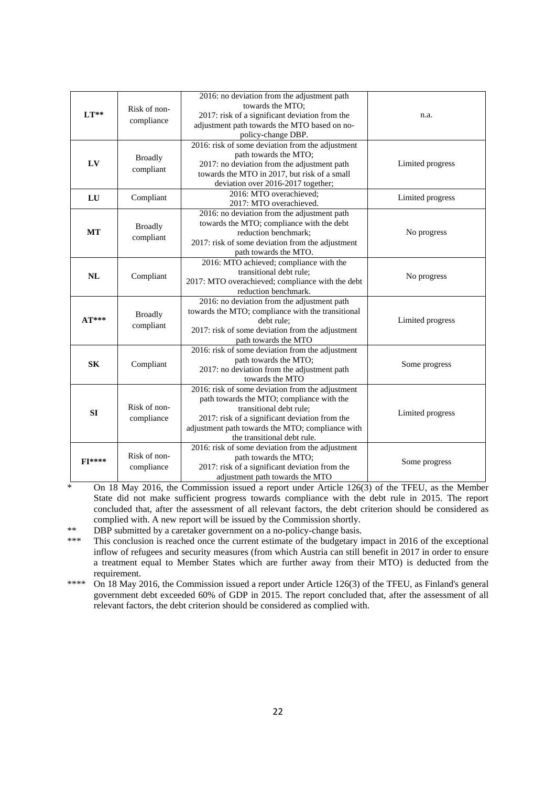| $LT**$        | Risk of non-   | 2016: no deviation from the adjustment path<br>towards the MTO:<br>2017: risk of a significant deviation from the | n.a.             |  |
|---------------|----------------|-------------------------------------------------------------------------------------------------------------------|------------------|--|
|               | compliance     | adjustment path towards the MTO based on no-<br>policy-change DBP.                                                |                  |  |
|               |                | 2016: risk of some deviation from the adjustment                                                                  |                  |  |
|               | <b>Broadly</b> | path towards the MTO;                                                                                             |                  |  |
| LV            | compliant      | 2017: no deviation from the adjustment path                                                                       | Limited progress |  |
|               |                | towards the MTO in 2017, but risk of a small                                                                      |                  |  |
|               |                | deviation over 2016-2017 together;<br>2016: MTO overachieved;                                                     |                  |  |
| LU            | Compliant      | 2017: MTO overachieved.                                                                                           | Limited progress |  |
|               |                | 2016: no deviation from the adjustment path                                                                       |                  |  |
|               |                | towards the MTO; compliance with the debt                                                                         |                  |  |
| MT            | <b>Broadly</b> | reduction benchmark;                                                                                              | No progress      |  |
|               | compliant      | 2017: risk of some deviation from the adjustment                                                                  |                  |  |
|               |                | path towards the MTO.                                                                                             |                  |  |
|               |                | 2016: MTO achieved; compliance with the                                                                           |                  |  |
| NL            | Compliant      | transitional debt rule;                                                                                           | No progress      |  |
|               |                | 2017: MTO overachieved; compliance with the debt                                                                  |                  |  |
|               |                | reduction benchmark.                                                                                              |                  |  |
|               |                | 2016: no deviation from the adjustment path                                                                       |                  |  |
| $AT***$       | <b>Broadly</b> | towards the MTO; compliance with the transitional                                                                 | Limited progress |  |
|               | compliant      | debt rule;<br>2017: risk of some deviation from the adjustment                                                    |                  |  |
|               |                | path towards the MTO                                                                                              |                  |  |
|               |                | 2016: risk of some deviation from the adjustment                                                                  |                  |  |
|               |                | path towards the MTO;                                                                                             |                  |  |
| <b>SK</b>     | Compliant      | 2017: no deviation from the adjustment path                                                                       | Some progress    |  |
|               |                | towards the MTO                                                                                                   |                  |  |
|               |                | 2016: risk of some deviation from the adjustment                                                                  |                  |  |
|               | Risk of non-   | path towards the MTO; compliance with the                                                                         |                  |  |
| SI            |                | transitional debt rule:                                                                                           | Limited progress |  |
|               | compliance     | 2017: risk of a significant deviation from the                                                                    |                  |  |
|               |                | adjustment path towards the MTO; compliance with                                                                  |                  |  |
|               |                | the transitional debt rule.<br>2016: risk of some deviation from the adjustment                                   |                  |  |
|               | Risk of non-   | path towards the MTO;                                                                                             |                  |  |
| <b>FI****</b> | compliance     | 2017: risk of a significant deviation from the                                                                    | Some progress    |  |
|               |                | adjustment path towards the MTO                                                                                   |                  |  |

On 18 May 2016, the Commission issued a report under Article 126(3) of the TFEU, as the Member State did not make sufficient progress towards compliance with the debt rule in 2015. The report concluded that, after the assessment of all relevant factors, the debt criterion should be considered as complied with. A new report will be issued by the Commission shortly.

\*\* DBP submitted by a caretaker government on a no-policy-change basis.

\*\*\* This conclusion is reached once the current estimate of the budgetary impact in 2016 of the exceptional inflow of refugees and security measures (from which Austria can still benefit in 2017 in order to ensure a treatment equal to Member States which are further away from their MTO) is deducted from the requirement.

\*\*\*\* On 18 May 2016, the Commission issued a report under Article 126(3) of the TFEU, as Finland's general government debt exceeded 60% of GDP in 2015. The report concluded that, after the assessment of all relevant factors, the debt criterion should be considered as complied with.